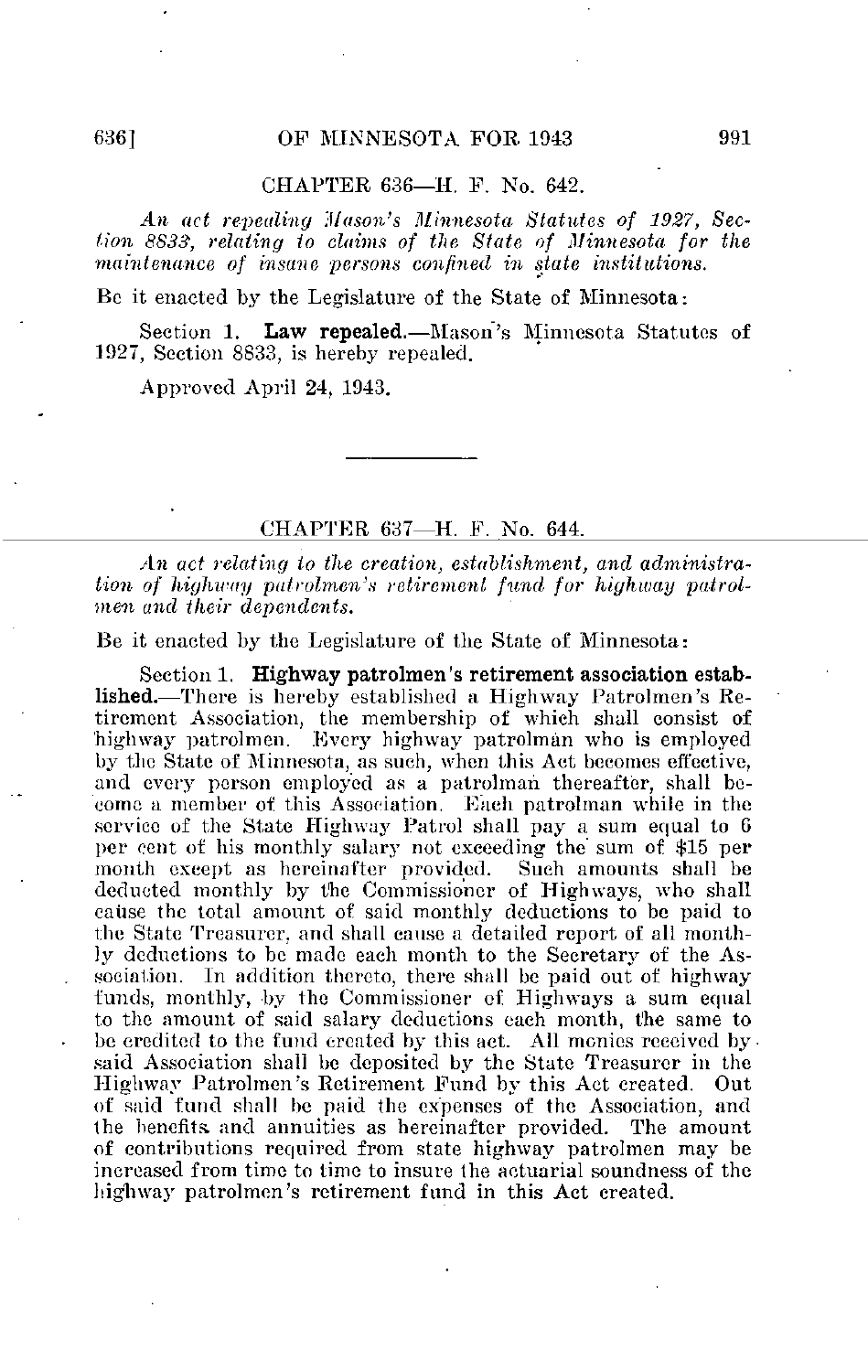## CHAPTER 636—H. F. No. 642.

An act repealing 'Mason's Minnesota Statutes of 1927, Section 8833, relating to claims of the State of Minnesota for the maintenance of insane persons confined in state institutions.

Be it enacted by the Legislature of the State of Minnesota:

Section 1. Law repealed.—Mason's Minnesota Statutes of 1927, Section 8833, is hereby repealed.

Approved April 24, 1943.

CHAPTER 637—H. F. No. 644.

An act relating to the creation, establishment, and administration of highway patrolmen's retirement fund for highway patrolmen and their dependents.

Be it enacted by the Legislature of the State of Minnesota:

Section 1. Highway patrolmen's retirement association established.—There is hereby established a Highway Patrolmen's Retirement Association, the membership of which shall consist of 'highway patrolmen. Every highway patrolman who is employed by the State of Minnesota, as such, when this Act becomes effective, and every person employed as a patrolman thereafter, shall become a member of this Association. Each patrolman while in the service of the State Highway Patrol shall pay a sum equal to G per cent of his monthly salary not exceeding the sum of \$15 per month except as hereinafter provided. deducted monthly by the Commissioner of Highways, who shall cause the total amount of said monthly deductions to be paid to the State Treasurer, and shall cause a detailed report of all monthly deductions to be made each month to the Secretary of the Association. In addition thereto, there shall be paid out of highway funds, monthly, by the Commissioner of Highways a sum equal to the amount of said salary deductions each month, the same to be credited to the fund created by this act. All monies received by said Association shall be deposited by the State Treasurer in the Highway Patrolmen's Retirement Fund by this Act created. Out of said fund shall be paid the expenses of the Association, and (he benefits, and annuities as hereinafter provided. The amount of contributions required from state highway patrolmen may be increased from time to time to insure the actuarial soundness of the highway patrolmen's retirement fund in this Act created.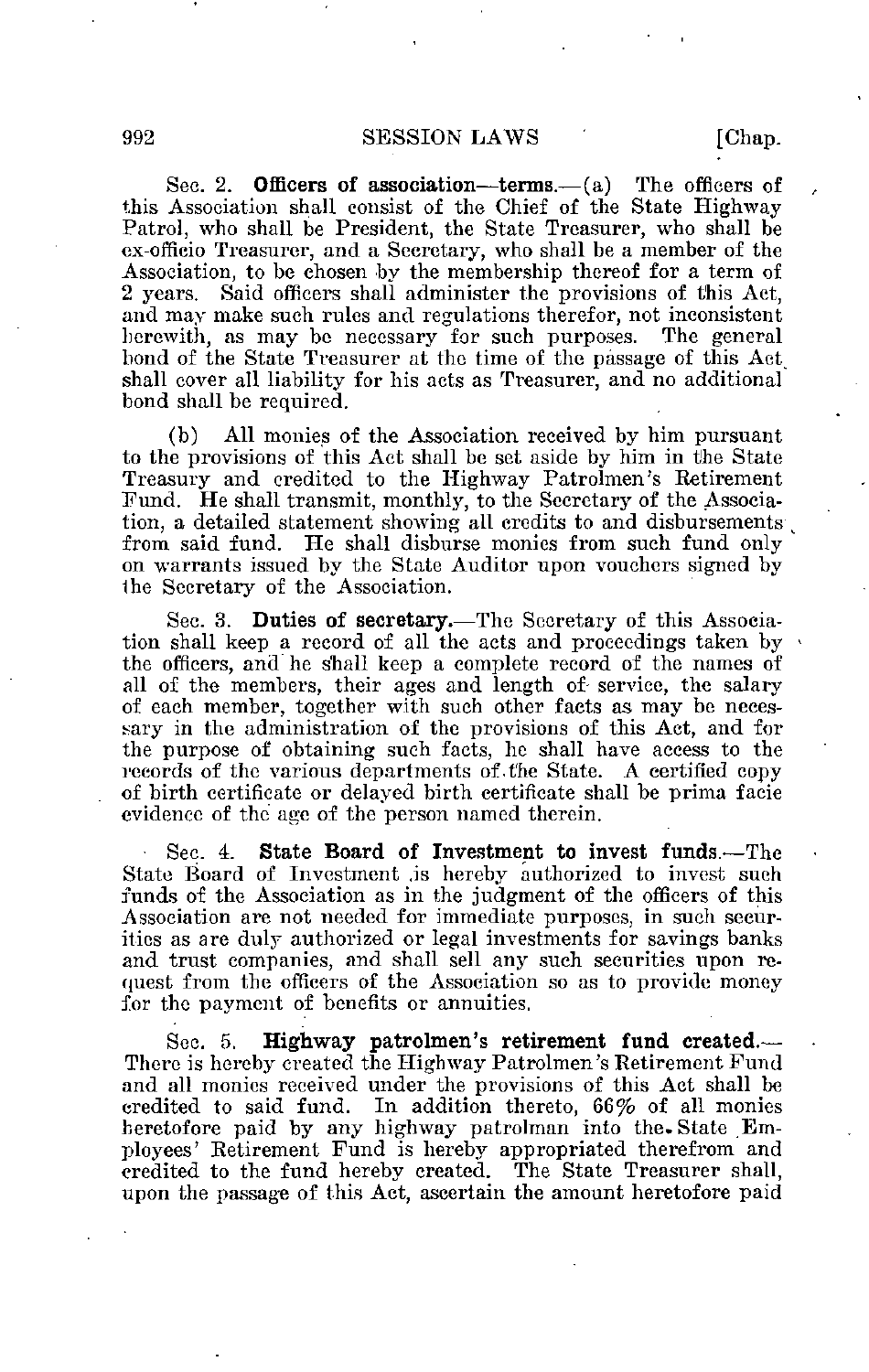Sec. 2. **Officers of association—terms.**—(a) The officers of this Association shall consist of the Chief of the State Highway Patrol, who shall be President, the State Treasurer, who shall be cx-officio Treasurer, and a Secretary, who shall be a member of the Association, to be chosen by the membership thereof for a term of 2 years. Said officers shall administer the provisions of this Act, and may make such rules and regulations therefor, not inconsistent herewith, as may be necessary for such purposes. The general bond of the State Treasurer at the time of the passage of this Act shall cover all liability for his acts as Treasurer, and no additional bond shall be required.

(b) All monies of the Association received by him pursuant to the provisions of this Act shall be set aside by him in the State Treasury and credited to the Highway Patrolmen's Retirement Fund. He shall transmit, monthly, to the Secretary of the Association, a detailed statement showing all credits to and disbursements from said fund. He shall disburse monies from such fund only on warrants issued by the State Auditor upon vouchers signed by ihe Secretary of the Association.

Sec. 3. Duties of secretary.—The Secretary of this Association shall keep a record of all the acts and proceedings taken by the officers, and he shall keep a complete record of the names of all of the members, their ages and length of service, the salary of each member, together with such other facts as may be necessary in the administration of the provisions of this Act, and for the purpose of obtaining such facts, he shall have access to the records of the various departments of the State. A certified copy of birth certificate or delayed birth certificate shall be prima facie evidence of the age of the person named therein.

• Sec. 4. State Board of Investment to invest funds.—The State Board of Investment .is hereby authorized to invest such funds of the Association as in the judgment of the officers of this Association are not needed for immediate purposes, in such securities as are duly authorized or legal investments for savings banks and trust companies, and shall sell any such securities upon request from the officers of the Association so as to provide money for the payment of benefits or annuities.

Sec. 5. Highway patrolmen's retirement fund created.--There is hereby created the Highway Patrolmen's Retirement Fund and all monies received under the provisions of this Act shall be credited to said fund. In addition thereto, 66% of all monies heretofore paid by any highway patrolman into the. State Employees' Retirement Fund is hereby appropriated therefrom and credited to the fund hereby created. The State Treasurer shall, upon the passage of this Act, ascertain the amount heretofore paid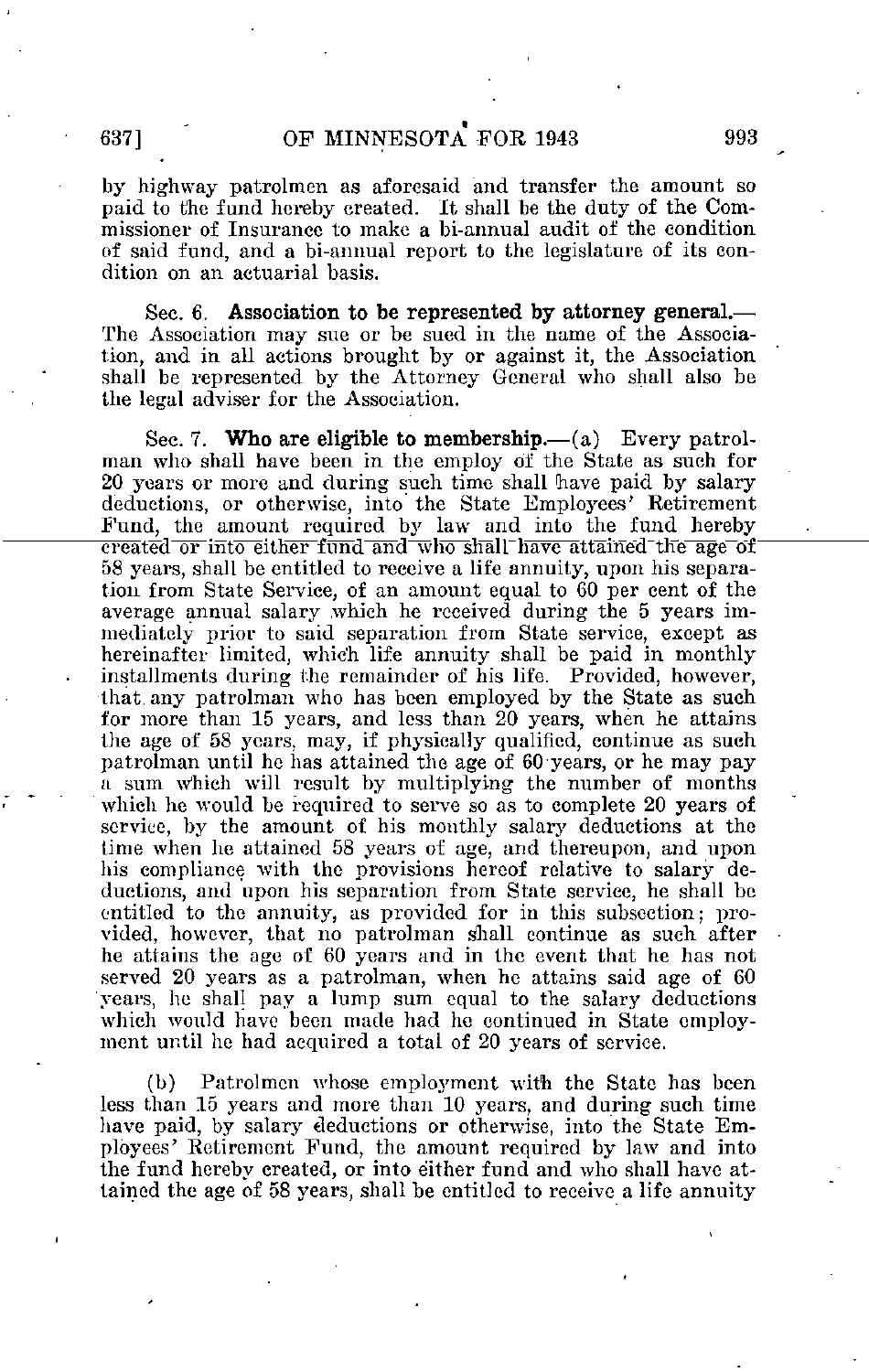by highway patrolmen as aforesaid and transfer the amount so paid to the fund hereby created. It shall be the duty of the Commissioner of Insurance to make a bi-annual audit of the condition of said fund, and a bi-annual report to the legislature of its condition on an actuarial basis.

Sec. 6. Association to be represented by attorney general.— The Association may sue or be sued in the name of the Association, and in all actions brought by or against it, the Association shall be represented by the Attorney General who shall also be the legal adviser for the Association.

Sec. 7. Who are eligible to membership.— $(a)$  Every patrolman who shall have been in the employ of the State as such for 20 years or more and during such time shall have paid by salary deductions, or otherwise, into the State Employees' Retirement Fund, the amount required by law and into the fund hereby  $\overline{\text{created or into either fund and who shall have attained the age-of}$ 58 years, shall be entitled to receive a life annuity, upon his separation from State Service, of an amount equal to 60 per cent of the average annual salary .which he received during the 5 years immediately prior to said separation from State service, except as hereinafter limited, which life annuity shall be paid in monthly installments during the remainder of his life. Provided, however, that any patrolman who has been employed by the State as such for more than 15 years, and less than 20 years, when he attains the age of 58 years, may, if physically qualified, continue as such patrolman until he has attained the age of 60 years, or he may pay a sum. which will result by multiplying the number of months which he would be required to serve so as to complete 20 years of service, by the amount of his monthly salary deductions at the lime when he attained 58 years of age, and thereupon, and upon his compliance with the provisions hereof relative to salary deductions, and upon his separation from State service, he shall be entitled to the annuity, as provided for in this subsection; provided, however, that no patrolman shall continue as such after he attains the age of 60 years and in the event that he has not served 20 years as a patrolman, when he attains said age of 60 years, he shall pay a lump sum equal to the salary deductions which would have been made had he continued in State employment until he had acquired a total of 20 years of service.

(b) Patrolmen whose employment with the State has been less than 15 years and more than 10 years, and during such time have paid, by salary deductions or otherwise, into the State Employees' Retirement Fund, the amount required by law and into the fund hereby created, or into either fund and who shall have attained the age of 58 years, shall be entitled to receive a life annuity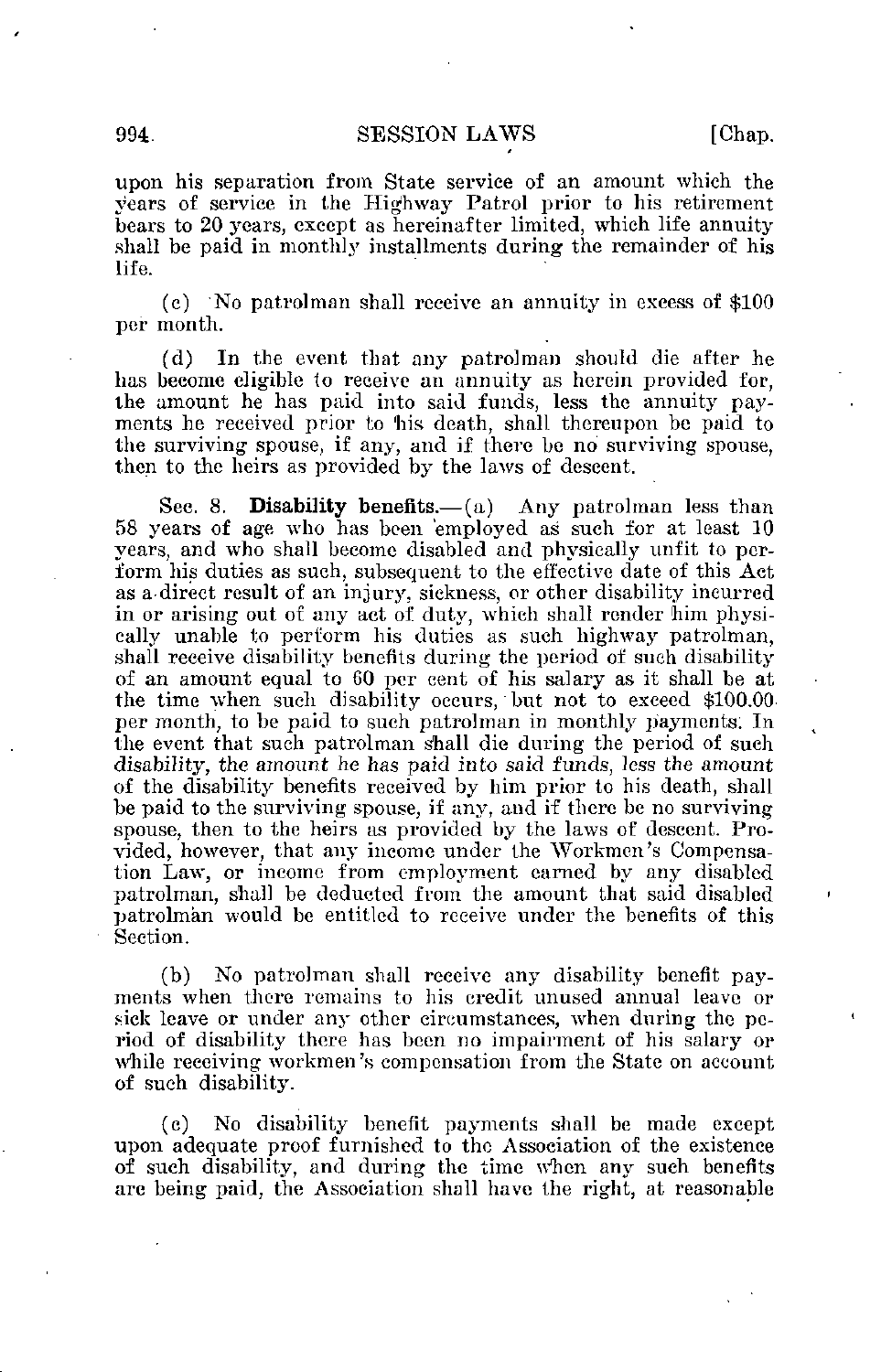## 994. SESSION LAWS [Chap.

upon his separation from State service of an amount which the years of service in the Highway Patrol prior to his retirement bears to 20 years, except as hereinafter limited, which life annuity shall be paid in monthly installments during the remainder of his life.

(c) 'No patrolman shall receive an annuity in excess of \$100 per month.

(d) In the event that any patrolman should die after he has become eligible to receive an annuity as herein provided for, the amount he has paid into said funds, less the annuity payments he received prior to 'his death, shall thereupon be paid to the surviving spouse, if any, and if there be no surviving spouse, then to the heirs as provided by the laws of descent.

Sec. 8. Disability benefits.— $(a)$  Any patrolman less than 58 years of age who has been employed as such for at least 10 years, and who shall become disabled and physically unfit to perform his duties as such, subsequent to the effective date of this Act as a direct result of an injury, sickness, or other disability incurred in or arising out of any act of duty, which shall render 'him physically unable to perform his duties as such highway patrolman, shall receive disability benefits during the period of such disability of an amount equal to 60 per cent of his salary as it shall be at the time when such disability occurs, but not to exceed \$100.00 per month, to be paid to such patrolman in monthly payments; In the event that such patrolman shall die during the period of such disability, the amount he has paid into said funds, less the amount of the disability benefits received by him prior to his death, shall be paid to the surviving spouse, if any, and if there be no surviving spouse, then to the heirs as provided by the laws of descent. Provided, however, that any income under the Workmen's Compensation Law, or income from employment earned by any disabled patrolman, shall be deducted from the amount that said disabled patrolman would be entitled to receive under the benefits of this Section.

(b) No patrolman shall receive any disability benefit payments when there remains to his credit unused annual leave or sick leave or under any other circumstances, when during the period of disability there has been no impairment of his salary or while receiving workmen's compensation from the State on account of such disability.

(c) No disability benefit payments shall be made except upon adequate proof furnished to the Association of the existence of such disability, and during the time when any such benefits arc being paid, the Association shall have the right, at reasonable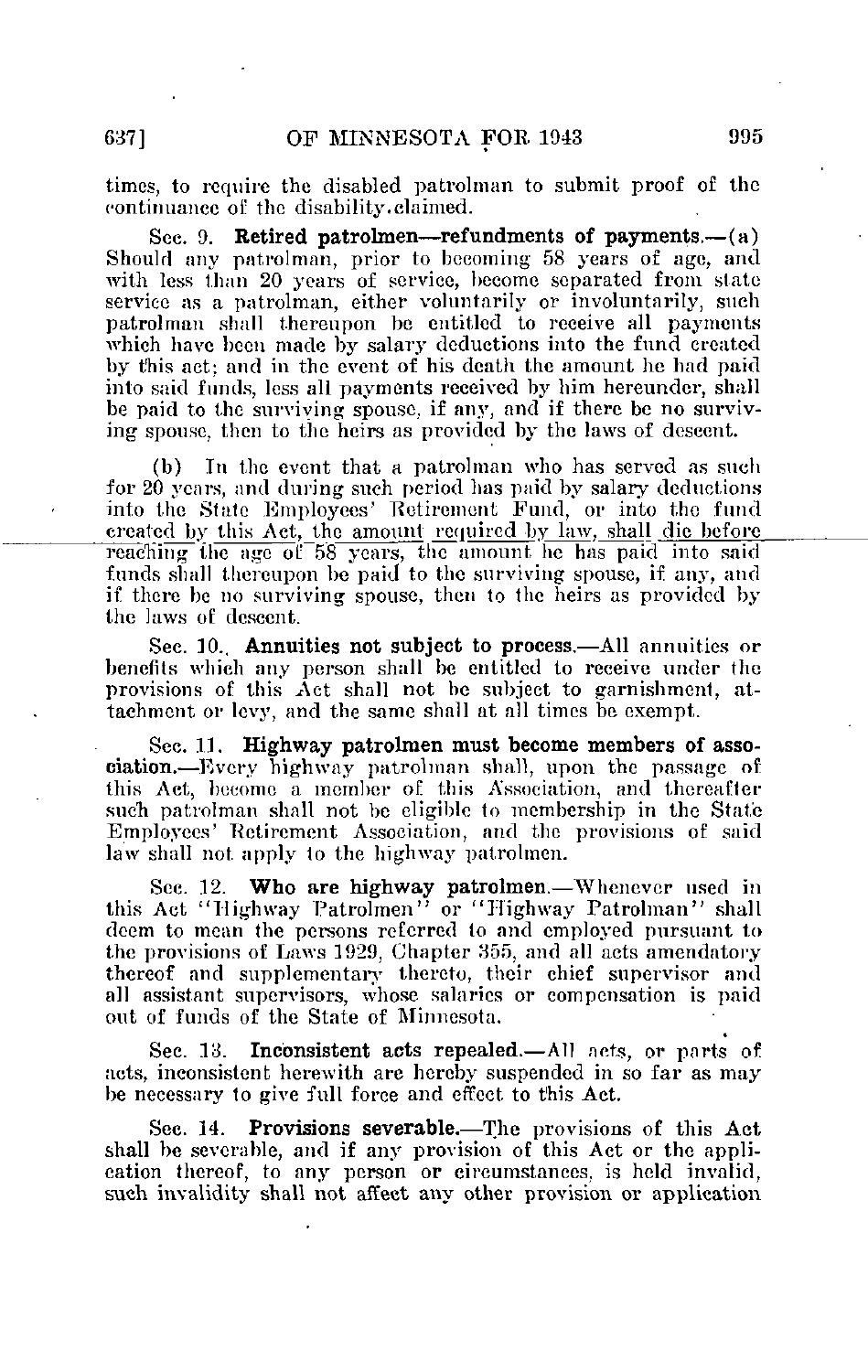times, to require the disabled patrolman to submit proof of the continuance of the disability.claimed.

See. 9. Retired patrolmen—refundments of payments.— $(a)$ Should any patrolman, prior to becoming 58 years of age, and with less than 20 years of service, become separated from state service as a patrolman, either voluntarily or involuntarily, such patrolman shall thereupon be entitled to receive all payments which have been made by salary deductions into the fund created by this act; and in the event of his death the amount he bad paid into said funds, less all payments received by him herenndcr, shall be paid to the surviving spouse, if any, and if there be no surviving spouse, then to the heirs as provided by the laws of descent.

(b) In the event that a patrolman who has served as such for 20 years, and during such period has paid by salary deductions into the State Employees' Retirement Fund, or into the fund created by this Act, the amount required by law, shall die before reaching the age of 58 years, the amount he has paid into said funds shall thereupon be paid to the surviving spouse, if any, and if there be no surviving spouse, then to the heirs as provided by the laws of: descent.

Sec. 10. **Annuities not subject to process.**—All annuities or benefits which any person shall be entitled to receive under the provisions of this Act shall not be subject to garnishment, attachment or levy, and the same shall at all times be exempt.

Sec. 11. Highway patrolmen must become members of association.—Every highway patrolman shall, upon the passage of this Act, become a member of this Association, and thereafter such patrolman shall not be eligible to membership in the State Employees' Retirement Association, and the provisions of said law shall not apply to the highway patrolmen.

Sec. 12. Who are highway patrolmen.—Whenever used in this Act "Highway Patrolmen" or "Highway Patrolman" shall deem to mean the persons referred to and employed pursuant to the provisions of Laws 1929, Chapter 355, and all acts amendatory thereof and supplementary thereto, their chief supervisor and all assistant supervisors, whose salaries or compensation is paid out of funds of the State of Minnesota.

Sec. 13. Inconsistent acts repealed.—All acts, or parts of acts, inconsistent herewith are hereby suspended in so far as may be necessary to give full force and effect to this Act.

Sec. 14. Provisions severable.—The provisions of this Act shall be severable, and if any provision of this Act or the application thereof, to any person or circumstances, is held invalid, such invalidity shall not affect any other provision or application